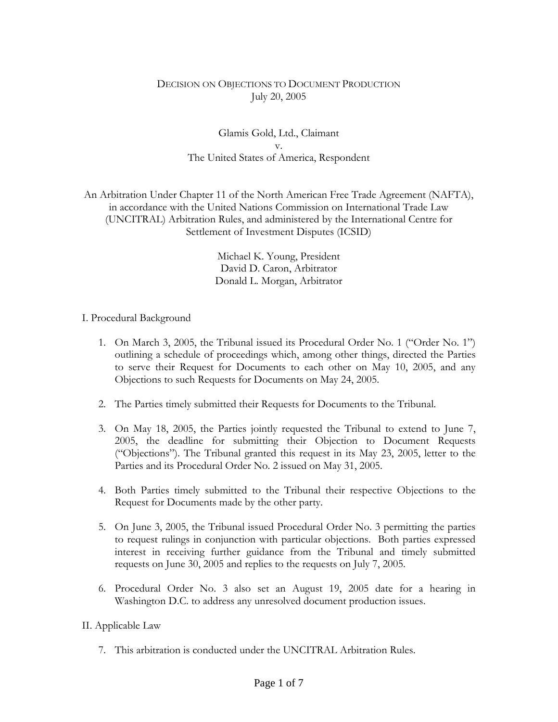### DECISION ON OBJECTIONS TO DOCUMENT PRODUCTION July 20, 2005

# Glamis Gold, Ltd., Claimant v. The United States of America, Respondent

An Arbitration Under Chapter 11 of the North American Free Trade Agreement (NAFTA), in accordance with the United Nations Commission on International Trade Law (UNCITRAL) Arbitration Rules, and administered by the International Centre for Settlement of Investment Disputes (ICSID)

> Michael K. Young, President David D. Caron, Arbitrator Donald L. Morgan, Arbitrator

### I. Procedural Background

- 1. On March 3, 2005, the Tribunal issued its Procedural Order No. 1 ("Order No. 1") outlining a schedule of proceedings which, among other things, directed the Parties to serve their Request for Documents to each other on May 10, 2005, and any Objections to such Requests for Documents on May 24, 2005.
- 2. The Parties timely submitted their Requests for Documents to the Tribunal.
- 3. On May 18, 2005, the Parties jointly requested the Tribunal to extend to June 7, 2005, the deadline for submitting their Objection to Document Requests ("Objections"). The Tribunal granted this request in its May 23, 2005, letter to the Parties and its Procedural Order No. 2 issued on May 31, 2005.
- 4. Both Parties timely submitted to the Tribunal their respective Objections to the Request for Documents made by the other party.
- 5. On June 3, 2005, the Tribunal issued Procedural Order No. 3 permitting the parties to request rulings in conjunction with particular objections. Both parties expressed interest in receiving further guidance from the Tribunal and timely submitted requests on June 30, 2005 and replies to the requests on July 7, 2005.
- 6. Procedural Order No. 3 also set an August 19, 2005 date for a hearing in Washington D.C. to address any unresolved document production issues.

### II. Applicable Law

7. This arbitration is conducted under the UNCITRAL Arbitration Rules.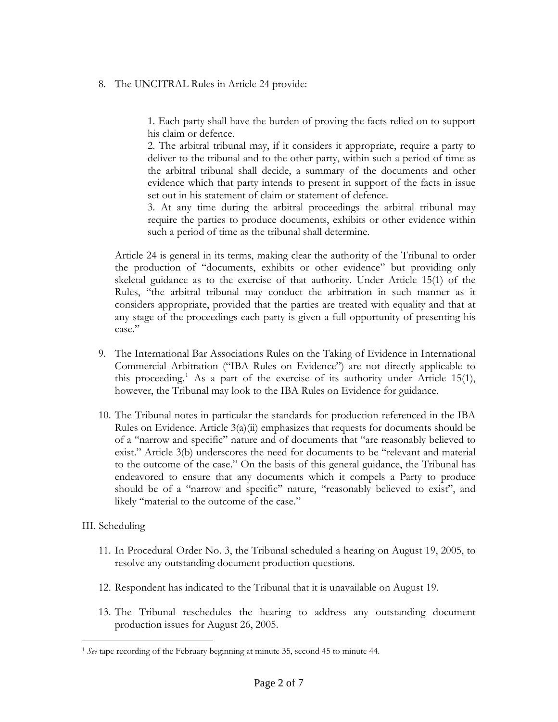#### 8. The UNCITRAL Rules in Article 24 provide:

1. Each party shall have the burden of proving the facts relied on to support his claim or defence.

2. The arbitral tribunal may, if it considers it appropriate, require a party to deliver to the tribunal and to the other party, within such a period of time as the arbitral tribunal shall decide, a summary of the documents and other evidence which that party intends to present in support of the facts in issue set out in his statement of claim or statement of defence.

3. At any time during the arbitral proceedings the arbitral tribunal may require the parties to produce documents, exhibits or other evidence within such a period of time as the tribunal shall determine.

Article 24 is general in its terms, making clear the authority of the Tribunal to order the production of "documents, exhibits or other evidence" but providing only skeletal guidance as to the exercise of that authority. Under Article 15(1) of the Rules, "the arbitral tribunal may conduct the arbitration in such manner as it considers appropriate, provided that the parties are treated with equality and that at any stage of the proceedings each party is given a full opportunity of presenting his case."

- 9. The International Bar Associations Rules on the Taking of Evidence in International Commercial Arbitration ("IBA Rules on Evidence") are not directly applicable to this proceeding.<sup>[1](#page-1-0)</sup> As a part of the exercise of its authority under Article 15(1), however, the Tribunal may look to the IBA Rules on Evidence for guidance.
- 10. The Tribunal notes in particular the standards for production referenced in the IBA Rules on Evidence. Article 3(a)(ii) emphasizes that requests for documents should be of a "narrow and specific" nature and of documents that "are reasonably believed to exist." Article 3(b) underscores the need for documents to be "relevant and material to the outcome of the case." On the basis of this general guidance, the Tribunal has endeavored to ensure that any documents which it compels a Party to produce should be of a "narrow and specific" nature, "reasonably believed to exist", and likely "material to the outcome of the case."

### III. Scheduling

 $\overline{a}$ 

- 11. In Procedural Order No. 3, the Tribunal scheduled a hearing on August 19, 2005, to resolve any outstanding document production questions.
- 12. Respondent has indicated to the Tribunal that it is unavailable on August 19.
- 13. The Tribunal reschedules the hearing to address any outstanding document production issues for August 26, 2005.

<span id="page-1-0"></span><sup>1</sup> *See* tape recording of the February beginning at minute 35, second 45 to minute 44.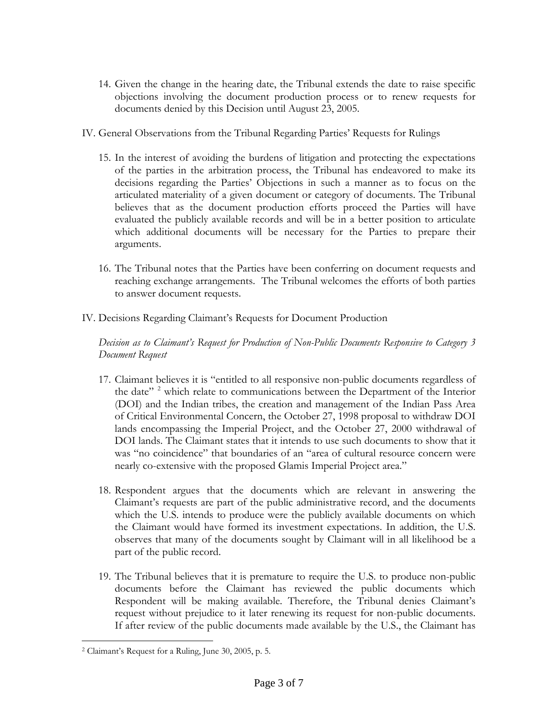- 14. Given the change in the hearing date, the Tribunal extends the date to raise specific objections involving the document production process or to renew requests for documents denied by this Decision until August 23, 2005.
- IV. General Observations from the Tribunal Regarding Parties' Requests for Rulings
	- 15. In the interest of avoiding the burdens of litigation and protecting the expectations of the parties in the arbitration process, the Tribunal has endeavored to make its decisions regarding the Parties' Objections in such a manner as to focus on the articulated materiality of a given document or category of documents. The Tribunal believes that as the document production efforts proceed the Parties will have evaluated the publicly available records and will be in a better position to articulate which additional documents will be necessary for the Parties to prepare their arguments.
	- 16. The Tribunal notes that the Parties have been conferring on document requests and reaching exchange arrangements. The Tribunal welcomes the efforts of both parties to answer document requests.
- IV. Decisions Regarding Claimant's Requests for Document Production

*Decision as to Claimant's Request for Production of Non-Public Documents Responsive to Category 3 Document Request* 

- 17. Claimant believes it is "entitled to all responsive non-public documents regardless of the date"<sup>[2](#page-2-0)</sup> which relate to communications between the Department of the Interior (DOI) and the Indian tribes, the creation and management of the Indian Pass Area of Critical Environmental Concern, the October 27, 1998 proposal to withdraw DOI lands encompassing the Imperial Project, and the October 27, 2000 withdrawal of DOI lands. The Claimant states that it intends to use such documents to show that it was "no coincidence" that boundaries of an "area of cultural resource concern were nearly co-extensive with the proposed Glamis Imperial Project area."
- 18. Respondent argues that the documents which are relevant in answering the Claimant's requests are part of the public administrative record, and the documents which the U.S. intends to produce were the publicly available documents on which the Claimant would have formed its investment expectations. In addition, the U.S. observes that many of the documents sought by Claimant will in all likelihood be a part of the public record.
- 19. The Tribunal believes that it is premature to require the U.S. to produce non-public documents before the Claimant has reviewed the public documents which Respondent will be making available. Therefore, the Tribunal denies Claimant's request without prejudice to it later renewing its request for non-public documents. If after review of the public documents made available by the U.S., the Claimant has

<span id="page-2-0"></span> $\overline{a}$ 2 Claimant's Request for a Ruling, June 30, 2005, p. 5.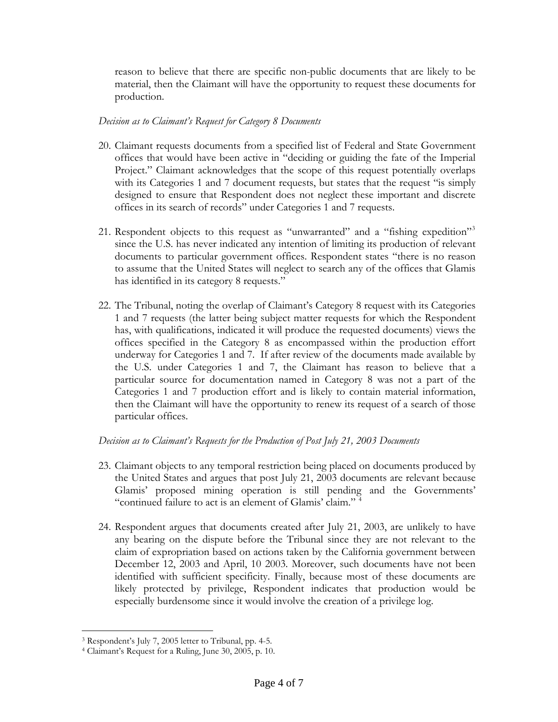reason to believe that there are specific non-public documents that are likely to be material, then the Claimant will have the opportunity to request these documents for production.

### *Decision as to Claimant's Request for Category 8 Documents*

- 20. Claimant requests documents from a specified list of Federal and State Government offices that would have been active in "deciding or guiding the fate of the Imperial Project." Claimant acknowledges that the scope of this request potentially overlaps with its Categories 1 and 7 document requests, but states that the request "is simply designed to ensure that Respondent does not neglect these important and discrete offices in its search of records" under Categories 1 and 7 requests.
- 21. Respondent objects to this request as "unwarranted" and a "fishing expedition"<sup>[3](#page-3-0)</sup> since the U.S. has never indicated any intention of limiting its production of relevant documents to particular government offices. Respondent states "there is no reason to assume that the United States will neglect to search any of the offices that Glamis has identified in its category 8 requests."
- 22. The Tribunal, noting the overlap of Claimant's Category 8 request with its Categories 1 and 7 requests (the latter being subject matter requests for which the Respondent has, with qualifications, indicated it will produce the requested documents) views the offices specified in the Category 8 as encompassed within the production effort underway for Categories 1 and 7. If after review of the documents made available by the U.S. under Categories 1 and 7, the Claimant has reason to believe that a particular source for documentation named in Category 8 was not a part of the Categories 1 and 7 production effort and is likely to contain material information, then the Claimant will have the opportunity to renew its request of a search of those particular offices.

# *Decision as to Claimant's Requests for the Production of Post July 21, 2003 Documents*

- 23. Claimant objects to any temporal restriction being placed on documents produced by the United States and argues that post July 21, 2003 documents are relevant because Glamis' proposed mining operation is still pending and the Governments' "continued failure to act is an element of Glamis' claim." [4](#page-3-1)
- 24. Respondent argues that documents created after July 21, 2003, are unlikely to have any bearing on the dispute before the Tribunal since they are not relevant to the claim of expropriation based on actions taken by the California government between December 12, 2003 and April, 10 2003. Moreover, such documents have not been identified with sufficient specificity. Finally, because most of these documents are likely protected by privilege, Respondent indicates that production would be especially burdensome since it would involve the creation of a privilege log.

 $\overline{a}$ 

<span id="page-3-0"></span><sup>3</sup> Respondent's July 7, 2005 letter to Tribunal, pp. 4-5.

<span id="page-3-1"></span><sup>4</sup> Claimant's Request for a Ruling, June 30, 2005, p. 10.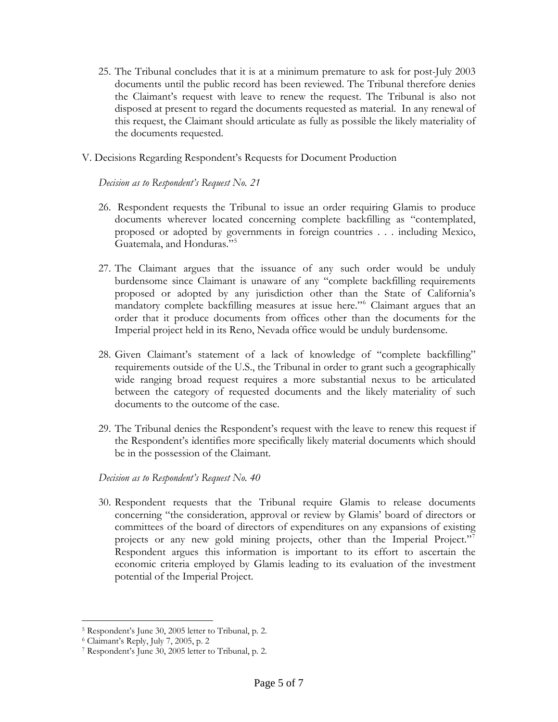- 25. The Tribunal concludes that it is at a minimum premature to ask for post-July 2003 documents until the public record has been reviewed. The Tribunal therefore denies the Claimant's request with leave to renew the request. The Tribunal is also not disposed at present to regard the documents requested as material. In any renewal of this request, the Claimant should articulate as fully as possible the likely materiality of the documents requested.
- V. Decisions Regarding Respondent's Requests for Document Production

### *Decision as to Respondent's Request No. 21*

- 26. Respondent requests the Tribunal to issue an order requiring Glamis to produce documents wherever located concerning complete backfilling as "contemplated, proposed or adopted by governments in foreign countries . . . including Mexico, Guatemala, and Honduras."<sup>[5](#page-4-0)</sup>
- 27. The Claimant argues that the issuance of any such order would be unduly burdensome since Claimant is unaware of any "complete backfilling requirements proposed or adopted by any jurisdiction other than the State of California's mandatory complete backfilling measures at issue here."[6](#page-4-1) Claimant argues that an order that it produce documents from offices other than the documents for the Imperial project held in its Reno, Nevada office would be unduly burdensome.
- 28. Given Claimant's statement of a lack of knowledge of "complete backfilling" requirements outside of the U.S., the Tribunal in order to grant such a geographically wide ranging broad request requires a more substantial nexus to be articulated between the category of requested documents and the likely materiality of such documents to the outcome of the case.
- 29. The Tribunal denies the Respondent's request with the leave to renew this request if the Respondent's identifies more specifically likely material documents which should be in the possession of the Claimant.

## *Decision as to Respondent's Request No. 40*

30. Respondent requests that the Tribunal require Glamis to release documents concerning "the consideration, approval or review by Glamis' board of directors or committees of the board of directors of expenditures on any expansions of existing projects or any new gold mining projects, other than the Imperial Project."<sup>[7](#page-4-2)</sup> Respondent argues this information is important to its effort to ascertain the economic criteria employed by Glamis leading to its evaluation of the investment potential of the Imperial Project.

<span id="page-4-0"></span><sup>1</sup> 5 Respondent's June 30, 2005 letter to Tribunal, p. 2. 6 Claimant's Reply, July 7, 2005, p. 2

<span id="page-4-1"></span>

<span id="page-4-2"></span><sup>7</sup> Respondent's June 30, 2005 letter to Tribunal, p. 2.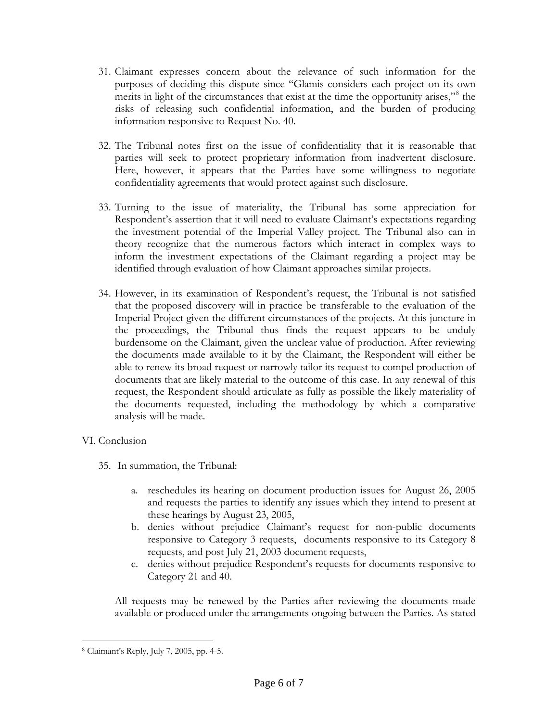- 31. Claimant expresses concern about the relevance of such information for the purposes of deciding this dispute since "Glamis considers each project on its own merits in light of the circumstances that exist at the time the opportunity arises,"<sup>[8](#page-5-0)</sup> the risks of releasing such confidential information, and the burden of producing information responsive to Request No. 40.
- 32. The Tribunal notes first on the issue of confidentiality that it is reasonable that parties will seek to protect proprietary information from inadvertent disclosure. Here, however, it appears that the Parties have some willingness to negotiate confidentiality agreements that would protect against such disclosure.
- 33. Turning to the issue of materiality, the Tribunal has some appreciation for Respondent's assertion that it will need to evaluate Claimant's expectations regarding the investment potential of the Imperial Valley project. The Tribunal also can in theory recognize that the numerous factors which interact in complex ways to inform the investment expectations of the Claimant regarding a project may be identified through evaluation of how Claimant approaches similar projects.
- 34. However, in its examination of Respondent's request, the Tribunal is not satisfied that the proposed discovery will in practice be transferable to the evaluation of the Imperial Project given the different circumstances of the projects. At this juncture in the proceedings, the Tribunal thus finds the request appears to be unduly burdensome on the Claimant, given the unclear value of production. After reviewing the documents made available to it by the Claimant, the Respondent will either be able to renew its broad request or narrowly tailor its request to compel production of documents that are likely material to the outcome of this case. In any renewal of this request, the Respondent should articulate as fully as possible the likely materiality of the documents requested, including the methodology by which a comparative analysis will be made.

### VI. Conclusion

1

- 35. In summation, the Tribunal:
	- a. reschedules its hearing on document production issues for August 26, 2005 and requests the parties to identify any issues which they intend to present at these hearings by August 23, 2005,
	- b. denies without prejudice Claimant's request for non-public documents responsive to Category 3 requests, documents responsive to its Category 8 requests, and post July 21, 2003 document requests,
	- c. denies without prejudice Respondent's requests for documents responsive to Category 21 and 40.

All requests may be renewed by the Parties after reviewing the documents made available or produced under the arrangements ongoing between the Parties. As stated

<span id="page-5-0"></span><sup>8</sup> Claimant's Reply, July 7, 2005, pp. 4-5.